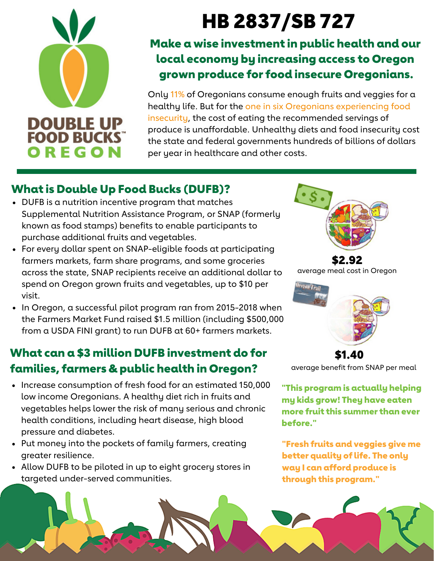# **DOUBLE UP**<br>FOOD BUCKS OREGON

# HB XX: HB 2837/SB 727

# Make a wise investment in public health and our local economy by increasing access to Oregon grown produce for food insecure Oregonians.

Only 11% of Oregonians consume enough fruits and veggies for a healthy life. But for the one in six Oregonians experiencing food insecurity, the cost of eating the recommended servings of produce is unaffordable. Unhealthy diets and food insecurity cost the state and federal governments hundreds of billions of dollars per year in healthcare and other costs.

# What is Double Up Food Bucks (DUFB)?

- DUFB is a nutrition incentive program that matches Supplemental Nutrition Assistance Program, or SNAP (formerly known as food stamps) benefits to enable participants to purchase additional fruits and vegetables.
- For every dollar spent on SNAP-eligible foods at participating farmers markets, farm share programs, and some groceries across the state, SNAP recipients receive an additional dollar to spend on Oregon grown fruits and vegetables, up to \$10 per visit.
- In Oregon, a successful pilot program ran from 2015-2018 when the Farmers Market Fund raised \$1.5 million (including \$500,000 from a USDA FINI grant) to run DUFB at 60+ farmers markets.

# What can a \$3 million DUFB investment do for families, farmers & public health in Oregon?

- Increase consumption of fresh food for an estimated 150,000 low income Oregonians. A healthy diet rich in fruits and vegetables helps lower the risk of many serious and chronic health conditions, including heart disease, high blood pressure and diabetes.
- Put money into the pockets of family farmers, creating greater resilience.
- Allow DUFB to be piloted in up to eight grocery stores in targeted under-served communities.



\$2.92 average meal cost in Oregon



\$1.40 average benefit from SNAP per meal

"This program is actually helping my kids grow! They have eaten more fruit this summer than ever before."

"Fresh fruits and veggies give me better quality of life. The only way I can afford produce is through this program."